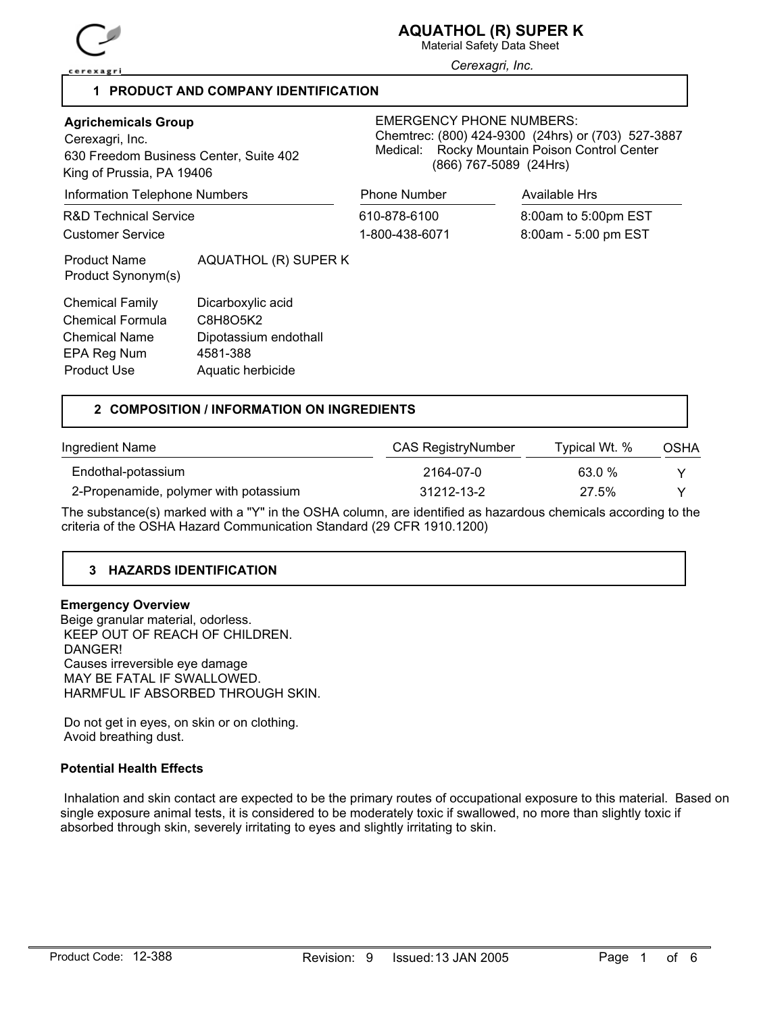

Material Safety Data Sheet

*Cerexagri, Inc.*

## **1 PRODUCT AND COMPANY IDENTIFICATION**

| <b>Agrichemicals Group</b><br>Cerexagri, Inc.<br>630 Freedom Business Center, Suite 402<br>King of Prussia, PA 19406 |                                                                                         | <b>EMERGENCY PHONE NUMBERS:</b><br>Chemtrec: (800) 424-9300 (24hrs) or (703) 527-3887<br>Rocky Mountain Poison Control Center<br>Medical:<br>(866) 767-5089 (24Hrs) |                                              |  |
|----------------------------------------------------------------------------------------------------------------------|-----------------------------------------------------------------------------------------|---------------------------------------------------------------------------------------------------------------------------------------------------------------------|----------------------------------------------|--|
| <b>Information Telephone Numbers</b>                                                                                 |                                                                                         | <b>Phone Number</b>                                                                                                                                                 | Available Hrs                                |  |
| <b>R&amp;D Technical Service</b><br>Customer Service                                                                 |                                                                                         | 610-878-6100<br>1-800-438-6071                                                                                                                                      | 8:00am to 5:00pm EST<br>8:00am - 5:00 pm EST |  |
| <b>Product Name</b><br>Product Synonym(s)                                                                            | AQUATHOL (R) SUPER K                                                                    |                                                                                                                                                                     |                                              |  |
| <b>Chemical Family</b><br>Chemical Formula<br><b>Chemical Name</b><br>EPA Reg Num<br><b>Product Use</b>              | Dicarboxylic acid<br>C8H8O5K2<br>Dipotassium endothall<br>4581-388<br>Aquatic herbicide |                                                                                                                                                                     |                                              |  |

## **2 COMPOSITION / INFORMATION ON INGREDIENTS**

| Ingredient Name                       | CAS RegistryNumber | Typical Wt. % | OSHA |
|---------------------------------------|--------------------|---------------|------|
| Endothal-potassium                    | 2164-07-0          | 63.0%         |      |
| 2-Propenamide, polymer with potassium | 31212-13-2         | 27.5%         |      |

The substance(s) marked with a "Y" in the OSHA column, are identified as hazardous chemicals according to the criteria of the OSHA Hazard Communication Standard (29 CFR 1910.1200)

# **3 HAZARDS IDENTIFICATION**

## **Emergency Overview**

Beige granular material, odorless. KEEP OUT OF REACH OF CHILDREN. DANGER! Causes irreversible eye damage MAY BE FATAL IF SWALLOWED. HARMFUL IF ABSORBED THROUGH SKIN.

 Do not get in eyes, on skin or on clothing. Avoid breathing dust.

#### **Potential Health Effects**

 Inhalation and skin contact are expected to be the primary routes of occupational exposure to this material. Based on single exposure animal tests, it is considered to be moderately toxic if swallowed, no more than slightly toxic if absorbed through skin, severely irritating to eyes and slightly irritating to skin.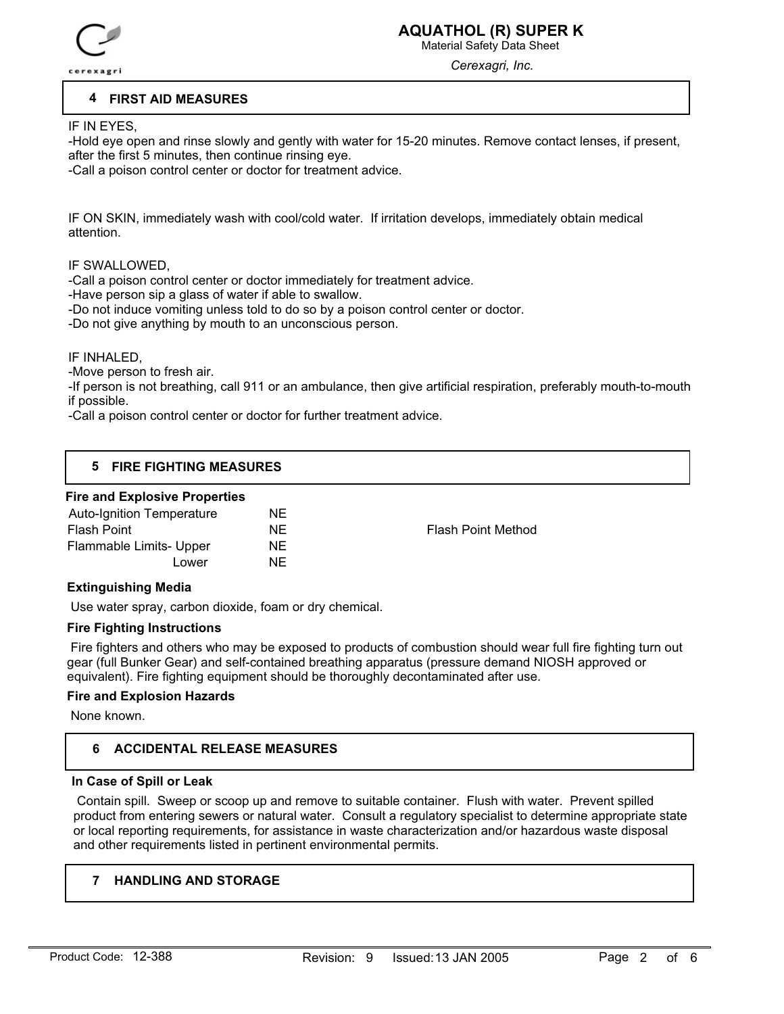

Material Safety Data Sheet

*Cerexagri, Inc.*

## **4 FIRST AID MEASURES**

IF IN EYES,

-Hold eye open and rinse slowly and gently with water for 15-20 minutes. Remove contact lenses, if present, after the first 5 minutes, then continue rinsing eye.

-Call a poison control center or doctor for treatment advice.

IF ON SKIN, immediately wash with cool/cold water. If irritation develops, immediately obtain medical attention.

## IF SWALLOWED,

-Call a poison control center or doctor immediately for treatment advice.

-Have person sip a glass of water if able to swallow.

-Do not induce vomiting unless told to do so by a poison control center or doctor.

-Do not give anything by mouth to an unconscious person.

## IF INHALED,

-Move person to fresh air.

-If person is not breathing, call 911 or an ambulance, then give artificial respiration, preferably mouth-to-mouth if possible.

-Call a poison control center or doctor for further treatment advice.

## **5 FIRE FIGHTING MEASURES**

## **Fire and Explosive Properties**

| Auto-Ignition Temperature | NE  |                           |
|---------------------------|-----|---------------------------|
| Flash Point               | NF  | <b>Flash Point Method</b> |
| Flammable Limits- Upper   | NE. |                           |
| Lower                     | NF. |                           |
|                           |     |                           |

## **Extinguishing Media**

Use water spray, carbon dioxide, foam or dry chemical.

## **Fire Fighting Instructions**

 Fire fighters and others who may be exposed to products of combustion should wear full fire fighting turn out gear (full Bunker Gear) and self-contained breathing apparatus (pressure demand NIOSH approved or equivalent). Fire fighting equipment should be thoroughly decontaminated after use.

## **Fire and Explosion Hazards**

None known.

## **6 ACCIDENTAL RELEASE MEASURES**

## **In Case of Spill or Leak**

 Contain spill. Sweep or scoop up and remove to suitable container. Flush with water. Prevent spilled product from entering sewers or natural water. Consult a regulatory specialist to determine appropriate state or local reporting requirements, for assistance in waste characterization and/or hazardous waste disposal and other requirements listed in pertinent environmental permits.

## **7 HANDLING AND STORAGE**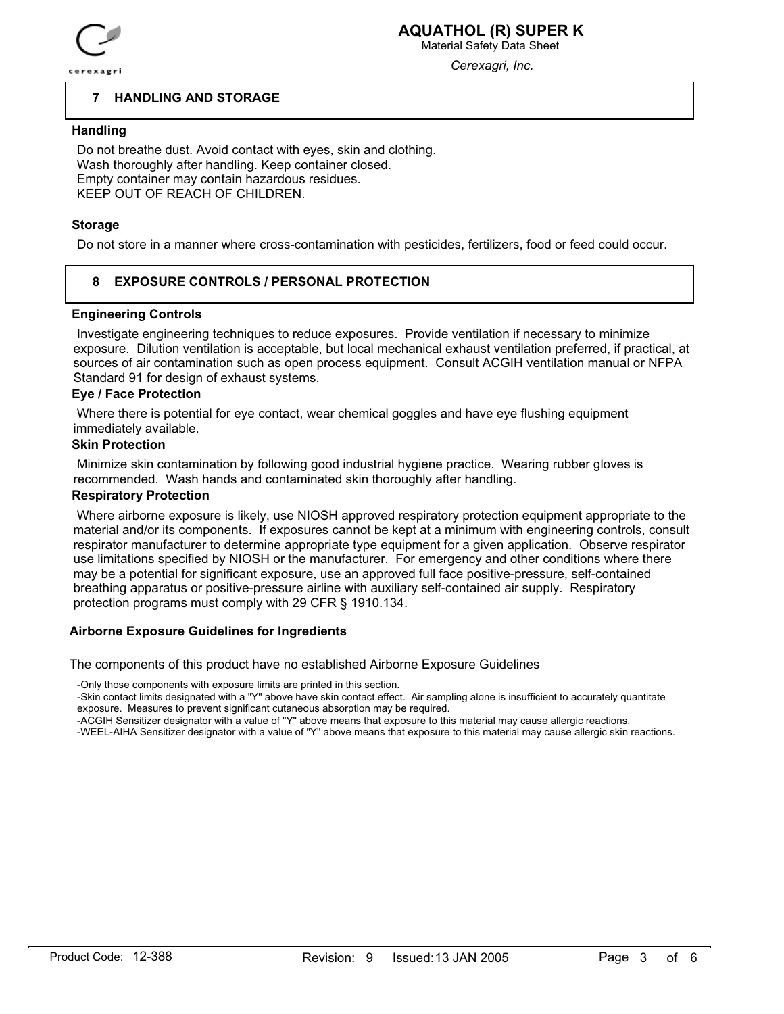

Material Safety Data Sheet *Cerexagri, Inc.*

#### **7 HANDLING AND STORAGE**

## **Handling**

 Do not breathe dust. Avoid contact with eyes, skin and clothing. Wash thoroughly after handling. Keep container closed. Empty container may contain hazardous residues. KEEP OUT OF REACH OF CHILDREN.

## **Storage**

Do not store in a manner where cross-contamination with pesticides, fertilizers, food or feed could occur.

#### **8 EXPOSURE CONTROLS / PERSONAL PROTECTION**

## **Engineering Controls**

 Investigate engineering techniques to reduce exposures. Provide ventilation if necessary to minimize exposure. Dilution ventilation is acceptable, but local mechanical exhaust ventilation preferred, if practical, at sources of air contamination such as open process equipment. Consult ACGIH ventilation manual or NFPA Standard 91 for design of exhaust systems.

#### **Eye / Face Protection**

 Where there is potential for eye contact, wear chemical goggles and have eye flushing equipment immediately available.

## **Skin Protection**

 Minimize skin contamination by following good industrial hygiene practice. Wearing rubber gloves is recommended. Wash hands and contaminated skin thoroughly after handling.

## **Respiratory Protection**

 Where airborne exposure is likely, use NIOSH approved respiratory protection equipment appropriate to the material and/or its components. If exposures cannot be kept at a minimum with engineering controls, consult respirator manufacturer to determine appropriate type equipment for a given application. Observe respirator use limitations specified by NIOSH or the manufacturer. For emergency and other conditions where there may be a potential for significant exposure, use an approved full face positive-pressure, self-contained breathing apparatus or positive-pressure airline with auxiliary self-contained air supply. Respiratory protection programs must comply with 29 CFR § 1910.134.

#### **Airborne Exposure Guidelines for Ingredients**

The components of this product have no established Airborne Exposure Guidelines

-Only those components with exposure limits are printed in this section.

-Skin contact limits designated with a "Y" above have skin contact effect. Air sampling alone is insufficient to accurately quantitate exposure. Measures to prevent significant cutaneous absorption may be required.

-ACGIH Sensitizer designator with a value of "Y" above means that exposure to this material may cause allergic reactions.

-WEEL-AIHA Sensitizer designator with a value of "Y" above means that exposure to this material may cause allergic skin reactions.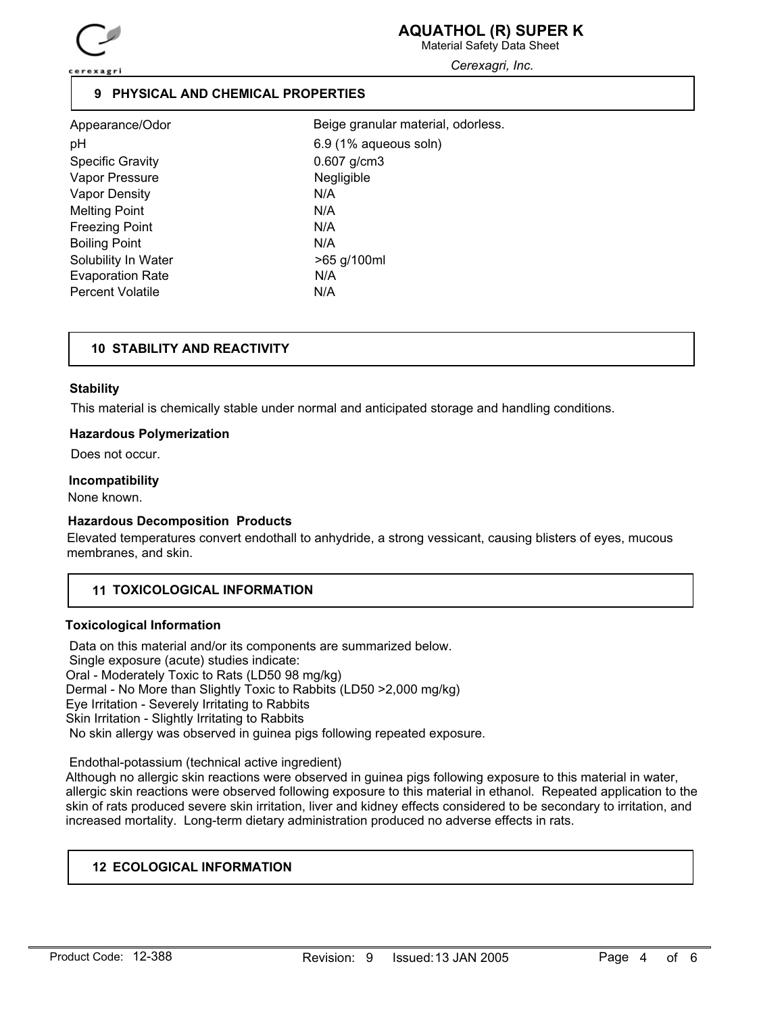

Material Safety Data Sheet

*Cerexagri, Inc.*

## **9 PHYSICAL AND CHEMICAL PROPERTIES**

| Appearance/Odor         | Beig |
|-------------------------|------|
| рH                      | 6.9  |
| <b>Specific Gravity</b> | 0.60 |
| Vapor Pressure          | Neg  |
| Vapor Density           | N/A  |
| <b>Melting Point</b>    | N/A  |
| <b>Freezing Point</b>   | N/A  |
| <b>Boiling Point</b>    | N/A  |
| Solubility In Water     | >65  |
| <b>Evaporation Rate</b> | N/A  |
| <b>Percent Volatile</b> | N/A  |

 $6.9$  (1% aqueous soln)  $0.607$  g/cm3 Negligible >65 g/100ml Beige granular material, odorless.

## **10 STABILITY AND REACTIVITY**

## **Stability**

This material is chemically stable under normal and anticipated storage and handling conditions.

## **Hazardous Polymerization**

Does not occur.

#### **Incompatibility**

None known.

## **Hazardous Decomposition Products**

Elevated temperatures convert endothall to anhydride, a strong vessicant, causing blisters of eyes, mucous membranes, and skin.

## **11 TOXICOLOGICAL INFORMATION**

## **Toxicological Information**

 Data on this material and/or its components are summarized below. Single exposure (acute) studies indicate: Oral - Moderately Toxic to Rats (LD50 98 mg/kg) Dermal - No More than Slightly Toxic to Rabbits (LD50 >2,000 mg/kg) Eye Irritation - Severely Irritating to Rabbits Skin Irritation - Slightly Irritating to Rabbits No skin allergy was observed in guinea pigs following repeated exposure.

Endothal-potassium (technical active ingredient)

Although no allergic skin reactions were observed in guinea pigs following exposure to this material in water, allergic skin reactions were observed following exposure to this material in ethanol. Repeated application to the skin of rats produced severe skin irritation, liver and kidney effects considered to be secondary to irritation, and increased mortality. Long-term dietary administration produced no adverse effects in rats.

## **12 ECOLOGICAL INFORMATION**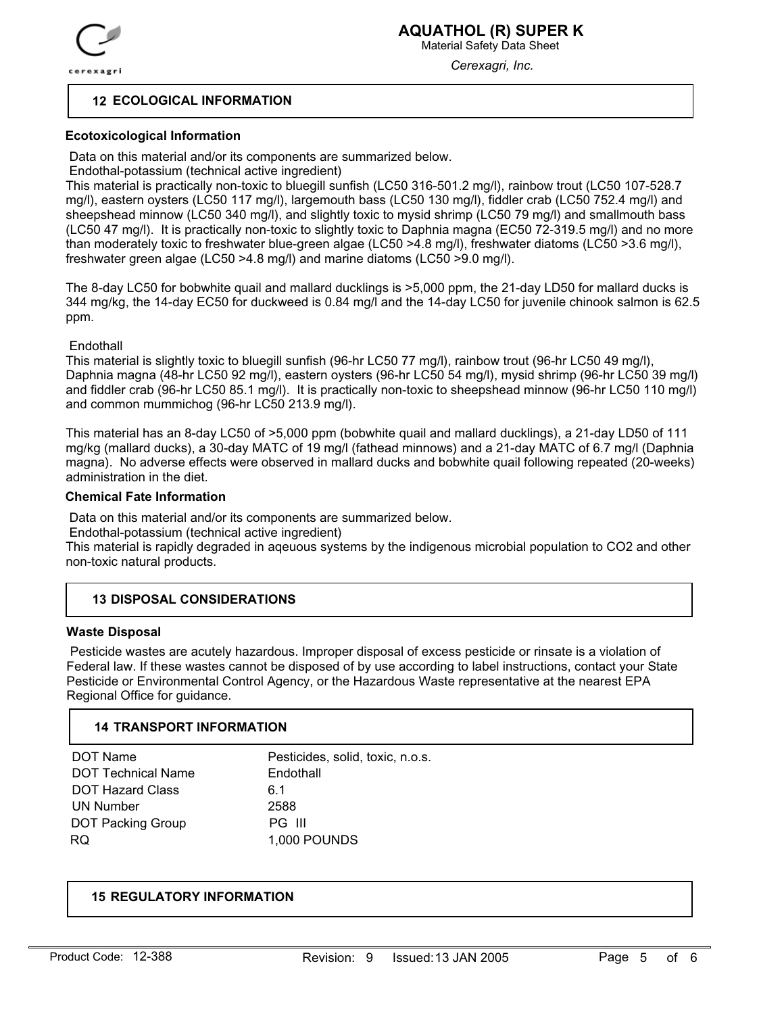

Material Safety Data Sheet

*Cerexagri, Inc.*

## **12 ECOLOGICAL INFORMATION**

## **Ecotoxicological Information**

Data on this material and/or its components are summarized below.

Endothal-potassium (technical active ingredient)

This material is practically non-toxic to bluegill sunfish (LC50 316-501.2 mg/l), rainbow trout (LC50 107-528.7 mg/l), eastern oysters (LC50 117 mg/l), largemouth bass (LC50 130 mg/l), fiddler crab (LC50 752.4 mg/l) and sheepshead minnow (LC50 340 mg/l), and slightly toxic to mysid shrimp (LC50 79 mg/l) and smallmouth bass (LC50 47 mg/l). It is practically non-toxic to slightly toxic to Daphnia magna (EC50 72-319.5 mg/l) and no more than moderately toxic to freshwater blue-green algae (LC50 >4.8 mg/l), freshwater diatoms (LC50 >3.6 mg/l), freshwater green algae (LC50 >4.8 mg/l) and marine diatoms (LC50 >9.0 mg/l).

The 8-day LC50 for bobwhite quail and mallard ducklings is >5,000 ppm, the 21-day LD50 for mallard ducks is 344 mg/kg, the 14-day EC50 for duckweed is 0.84 mg/l and the 14-day LC50 for juvenile chinook salmon is 62.5 ppm.

## **Endothall**

This material is slightly toxic to bluegill sunfish (96-hr LC50 77 mg/l), rainbow trout (96-hr LC50 49 mg/l), Daphnia magna (48-hr LC50 92 mg/l), eastern oysters (96-hr LC50 54 mg/l), mysid shrimp (96-hr LC50 39 mg/l) and fiddler crab (96-hr LC50 85.1 mg/l). It is practically non-toxic to sheepshead minnow (96-hr LC50 110 mg/l) and common mummichog (96-hr LC50 213.9 mg/l).

This material has an 8-day LC50 of >5,000 ppm (bobwhite quail and mallard ducklings), a 21-day LD50 of 111 mg/kg (mallard ducks), a 30-day MATC of 19 mg/l (fathead minnows) and a 21-day MATC of 6.7 mg/l (Daphnia magna). No adverse effects were observed in mallard ducks and bobwhite quail following repeated (20-weeks) administration in the diet.

## **Chemical Fate Information**

Data on this material and/or its components are summarized below.

Endothal-potassium (technical active ingredient)

This material is rapidly degraded in aqeuous systems by the indigenous microbial population to CO2 and other non-toxic natural products.

## **13 DISPOSAL CONSIDERATIONS**

## **Waste Disposal**

 Pesticide wastes are acutely hazardous. Improper disposal of excess pesticide or rinsate is a violation of Federal law. If these wastes cannot be disposed of by use according to label instructions, contact your State Pesticide or Environmental Control Agency, or the Hazardous Waste representative at the nearest EPA Regional Office for guidance.

## **14 TRANSPORT INFORMATION**

| DOT Name                  | Pesticides, solid, toxic, n.o.s. |
|---------------------------|----------------------------------|
| <b>DOT Technical Name</b> | Endothall                        |
| <b>DOT Hazard Class</b>   | 6 1                              |
| UN Number                 | 2588                             |
| <b>DOT Packing Group</b>  | PG III                           |
| RQ.                       | <b>1,000 POUNDS</b>              |

## **15 REGULATORY INFORMATION**